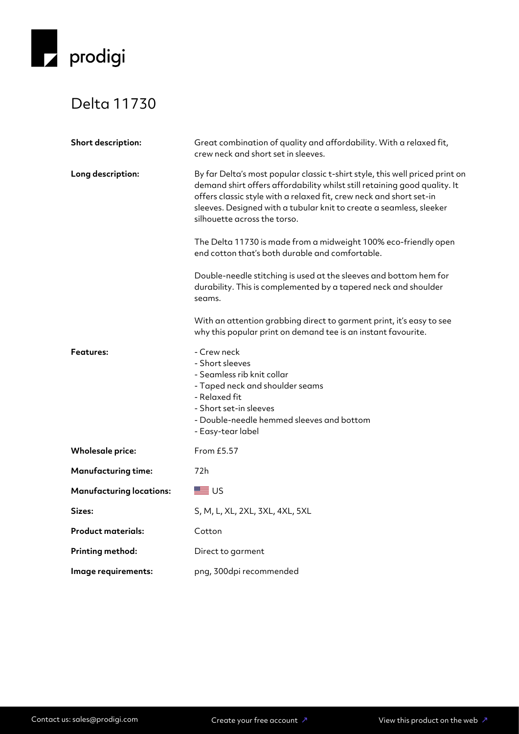

## Delta 11730

| Short description:              | Great combination of quality and affordability. With a relaxed fit,<br>crew neck and short set in sleeves.                                                                                                                                                                                                                              |
|---------------------------------|-----------------------------------------------------------------------------------------------------------------------------------------------------------------------------------------------------------------------------------------------------------------------------------------------------------------------------------------|
| Long description:               | By far Delta's most popular classic t-shirt style, this well priced print on<br>demand shirt offers affordability whilst still retaining good quality. It<br>offers classic style with a relaxed fit, crew neck and short set-in<br>sleeves. Designed with a tubular knit to create a seamless, sleeker<br>silhouette across the torso. |
|                                 | The Delta 11730 is made from a midweight 100% eco-friendly open<br>end cotton that's both durable and comfortable.                                                                                                                                                                                                                      |
|                                 | Double-needle stitching is used at the sleeves and bottom hem for<br>durability. This is complemented by a tapered neck and shoulder<br>seams.                                                                                                                                                                                          |
|                                 | With an attention grabbing direct to garment print, it's easy to see<br>why this popular print on demand tee is an instant favourite.                                                                                                                                                                                                   |
| <b>Features:</b>                | - Crew neck<br>- Short sleeves<br>- Seamless rib knit collar<br>- Taped neck and shoulder seams<br>- Relaxed fit<br>- Short set-in sleeves<br>- Double-needle hemmed sleeves and bottom<br>- Easy-tear label                                                                                                                            |
| <b>Wholesale price:</b>         | From £5.57                                                                                                                                                                                                                                                                                                                              |
| <b>Manufacturing time:</b>      | 72h                                                                                                                                                                                                                                                                                                                                     |
| <b>Manufacturing locations:</b> | ■ ∪s                                                                                                                                                                                                                                                                                                                                    |
| Sizes:                          | S, M, L, XL, 2XL, 3XL, 4XL, 5XL                                                                                                                                                                                                                                                                                                         |
| <b>Product materials:</b>       | Cotton                                                                                                                                                                                                                                                                                                                                  |
| <b>Printing method:</b>         | Direct to garment                                                                                                                                                                                                                                                                                                                       |
| Image requirements:             | png, 300dpi recommended                                                                                                                                                                                                                                                                                                                 |